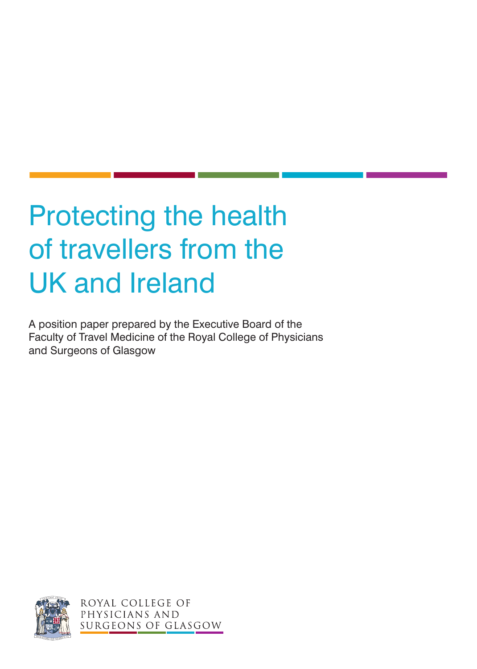# Protecting the health of travellers from the UK and Ireland

A position paper prepared by the Executive Board of the Faculty of Travel Medicine of the Royal College of Physicians and Surgeons of Glasgow



ROYAL COLLEGE OF PHYSICIANS AND SURGEONS OF GLASGOW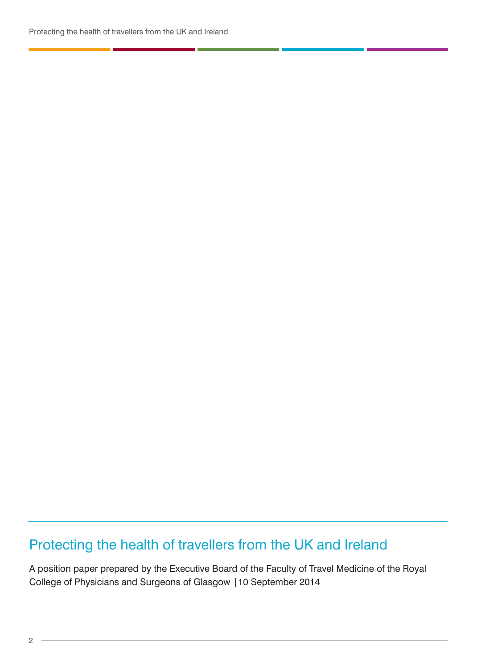### Protecting the health of travellers from the UK and Ireland

A position paper prepared by the Executive Board of the Faculty of Travel Medicine of the Royal College of Physicians and Surgeons of Glasgow |10 September 2014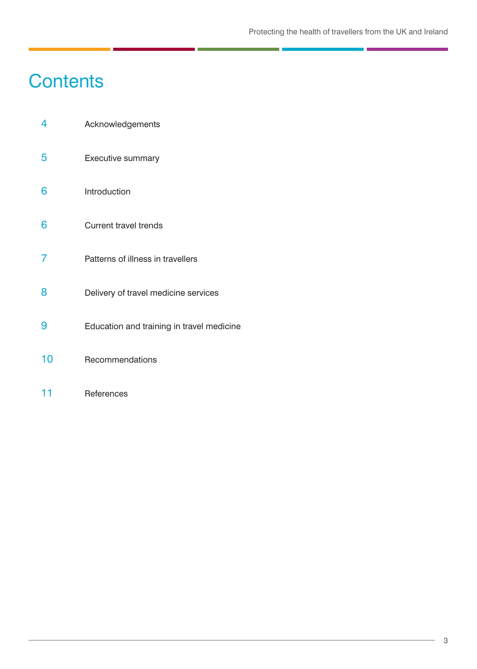# **Contents**

- 4 Acknowledgements
- 5 Executive summary
- 6 Introduction
- 6 Current travel trends
- 7 Patterns of illness in travellers
- 8 **Delivery of travel medicine services**
- 9 Education and training in travel medicine
- 10 Recommendations
- 11 References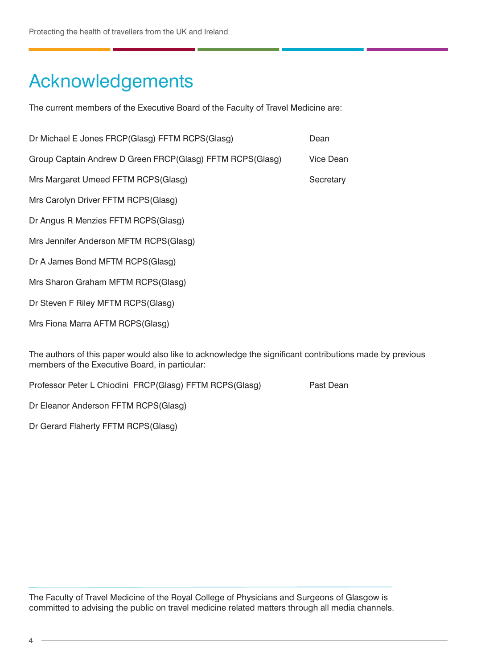# Acknowledgements

The current members of the Executive Board of the Faculty of Travel Medicine are:

| Dr Michael E Jones FRCP(Glasg) FFTM RCPS(Glasg)           | Dean             |
|-----------------------------------------------------------|------------------|
| Group Captain Andrew D Green FRCP(Glasg) FFTM RCPS(Glasg) | <b>Vice Dean</b> |
| Mrs Margaret Umeed FFTM RCPS(Glasg)                       | Secretary        |
| Mrs Carolyn Driver FFTM RCPS(Glasg)                       |                  |
| Dr Angus R Menzies FFTM RCPS(Glasg)                       |                  |
| Mrs Jennifer Anderson MFTM RCPS(Glasg)                    |                  |
| Dr A James Bond MFTM RCPS(Glasg)                          |                  |
| Mrs Sharon Graham MFTM RCPS(Glasg)                        |                  |
| Dr Steven F Riley MFTM RCPS(Glasg)                        |                  |
| Mrs Fiona Marra AFTM RCPS(Glasg)                          |                  |
|                                                           |                  |

The authors of this paper would also like to acknowledge the significant contributions made by previous members of the Executive Board, in particular:

Professor Peter L Chiodini FRCP(Glasg) FFTM RCPS(Glasg) Past Dean

Dr Eleanor Anderson FFTM RCPS(Glasg)

Dr Gerard Flaherty FFTM RCPS(Glasg)

The Faculty of Travel Medicine of the Royal College of Physicians and Surgeons of Glasgow is committed to advising the public on travel medicine related matters through all media channels.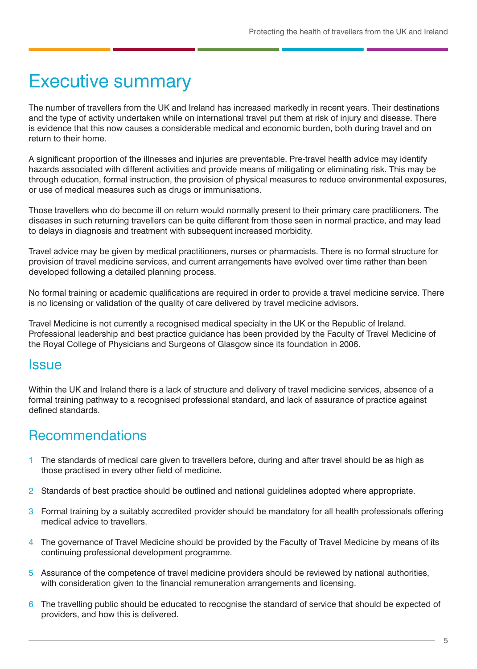### Executive summary

The number of travellers from the UK and Ireland has increased markedly in recent years. Their destinations and the type of activity undertaken while on international travel put them at risk of injury and disease. There is evidence that this now causes a considerable medical and economic burden, both during travel and on return to their home.

A significant proportion of the illnesses and injuries are preventable. Pre-travel health advice may identify hazards associated with different activities and provide means of mitigating or eliminating risk. This may be through education, formal instruction, the provision of physical measures to reduce environmental exposures, or use of medical measures such as drugs or immunisations.

Those travellers who do become ill on return would normally present to their primary care practitioners. The diseases in such returning travellers can be quite different from those seen in normal practice, and may lead to delays in diagnosis and treatment with subsequent increased morbidity.

Travel advice may be given by medical practitioners, nurses or pharmacists. There is no formal structure for provision of travel medicine services, and current arrangements have evolved over time rather than been developed following a detailed planning process.

No formal training or academic qualifications are required in order to provide a travel medicine service. There is no licensing or validation of the quality of care delivered by travel medicine advisors.

Travel Medicine is not currently a recognised medical specialty in the UK or the Republic of Ireland. Professional leadership and best practice guidance has been provided by the Faculty of Travel Medicine of the Royal College of Physicians and Surgeons of Glasgow since its foundation in 2006.

### **Issue**

Within the UK and Ireland there is a lack of structure and delivery of travel medicine services, absence of a formal training pathway to a recognised professional standard, and lack of assurance of practice against defined standards.

### Recommendations

- 1 The standards of medical care given to travellers before, during and after travel should be as high as those practised in every other field of medicine.
- 2 Standards of best practice should be outlined and national guidelines adopted where appropriate.
- 3 Formal training by a suitably accredited provider should be mandatory for all health professionals offering medical advice to travellers.
- 4 The governance of Travel Medicine should be provided by the Faculty of Travel Medicine by means of its continuing professional development programme.
- 5 Assurance of the competence of travel medicine providers should be reviewed by national authorities, with consideration given to the financial remuneration arrangements and licensing.
- 6 The travelling public should be educated to recognise the standard of service that should be expected of providers, and how this is delivered.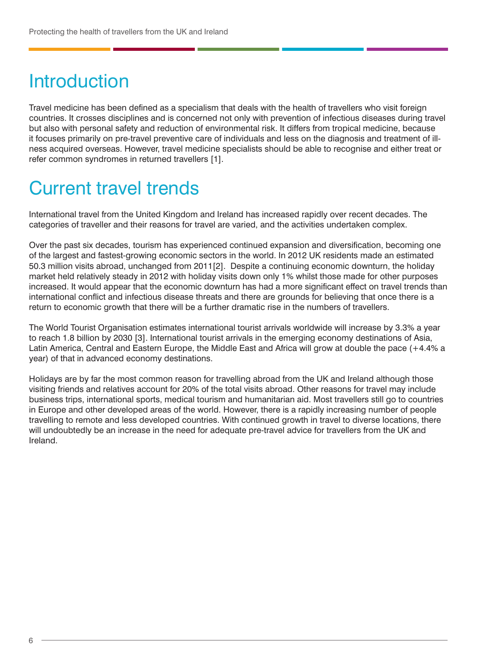# Introduction

Travel medicine has been defined as a specialism that deals with the health of travellers who visit foreign countries. It crosses disciplines and is concerned not only with prevention of infectious diseases during travel but also with personal safety and reduction of environmental risk. It differs from tropical medicine, because it focuses primarily on pre-travel preventive care of individuals and less on the diagnosis and treatment of illness acquired overseas. However, travel medicine specialists should be able to recognise and either treat or refer common syndromes in returned travellers [1].

### Current travel trends

International travel from the United Kingdom and Ireland has increased rapidly over recent decades. The categories of traveller and their reasons for travel are varied, and the activities undertaken complex.

Over the past six decades, tourism has experienced continued expansion and diversification, becoming one of the largest and fastest-growing economic sectors in the world. In 2012 UK residents made an estimated 50.3 million visits abroad, unchanged from 2011[2]. Despite a continuing economic downturn, the holiday market held relatively steady in 2012 with holiday visits down only 1% whilst those made for other purposes increased. It would appear that the economic downturn has had a more significant effect on travel trends than international conflict and infectious disease threats and there are grounds for believing that once there is a return to economic growth that there will be a further dramatic rise in the numbers of travellers.

The World Tourist Organisation estimates international tourist arrivals worldwide will increase by 3.3% a year to reach 1.8 billion by 2030 [3]. International tourist arrivals in the emerging economy destinations of Asia, Latin America, Central and Eastern Europe, the Middle East and Africa will grow at double the pace (+4.4% a year) of that in advanced economy destinations.

Holidays are by far the most common reason for travelling abroad from the UK and Ireland although those visiting friends and relatives account for 20% of the total visits abroad. Other reasons for travel may include business trips, international sports, medical tourism and humanitarian aid. Most travellers still go to countries in Europe and other developed areas of the world. However, there is a rapidly increasing number of people travelling to remote and less developed countries. With continued growth in travel to diverse locations, there will undoubtedly be an increase in the need for adequate pre-travel advice for travellers from the UK and Ireland.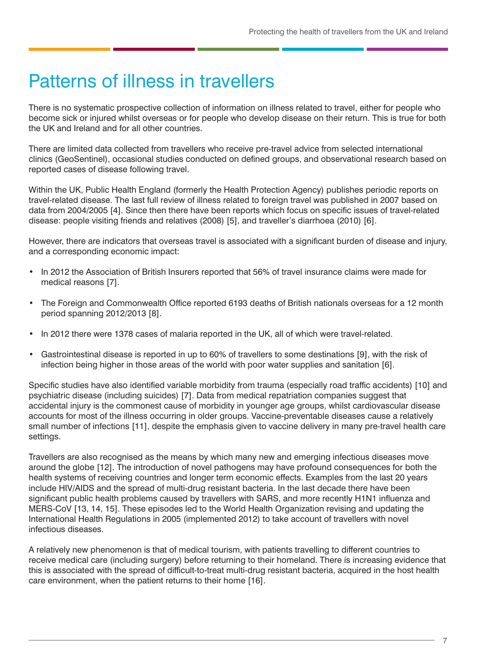### Patterns of illness in travellers

There is no systematic prospective collection of information on illness related to travel, either for people who become sick or injured whilst overseas or for people who develop disease on their return. This is true for both the UK and Ireland and for all other countries.

There are limited data collected from travellers who receive pre-travel advice from selected international clinics (GeoSentinel), occasional studies conducted on defined groups, and observational research based on reported cases of disease following travel.

Within the UK, Public Health England (formerly the Health Protection Agency) publishes periodic reports on travel-related disease. The last full review of illness related to foreign travel was published in 2007 based on data from 2004/2005 [4]. Since then there have been reports which focus on specific issues of travel-related disease: people visiting friends and relatives (2008) [5], and traveller's diarrhoea (2010) [6].

However, there are indicators that overseas travel is associated with a significant burden of disease and injury, and a corresponding economic impact:

- In 2012 the Association of British Insurers reported that 56% of travel insurance claims were made for medical reasons [7].
- The Foreign and Commonwealth Office reported 6193 deaths of British nationals overseas for a 12 month period spanning 2012/2013 [8].
- In 2012 there were 1378 cases of malaria reported in the UK, all of which were travel-related.
- Gastrointestinal disease is reported in up to 60% of travellers to some destinations [9], with the risk of infection being higher in those areas of the world with poor water supplies and sanitation [6].

Specific studies have also identified variable morbidity from trauma (especially road traffic accidents) [10] and psychiatric disease (including suicides) [7]. Data from medical repatriation companies suggest that accidental injury is the commonest cause of morbidity in younger age groups, whilst cardiovascular disease accounts for most of the illness occurring in older groups. Vaccine-preventable diseases cause a relatively small number of infections [11], despite the emphasis given to vaccine delivery in many pre-travel health care settings.

Travellers are also recognised as the means by which many new and emerging infectious diseases move around the globe [12]. The introduction of novel pathogens may have profound consequences for both the health systems of receiving countries and longer term economic effects. Examples from the last 20 years include HIV/AIDS and the spread of multi-drug resistant bacteria. In the last decade there have been significant public health problems caused by travellers with SARS, and more recently H1N1 influenza and MERS-CoV [13, 14, 15]. These episodes led to the World Health Organization revising and updating the International Health Regulations in 2005 (implemented 2012) to take account of travellers with novel infectious diseases.

A relatively new phenomenon is that of medical tourism, with patients travelling to different countries to receive medical care (including surgery) before returning to their homeland. There is increasing evidence that this is associated with the spread of difficult-to-treat multi-drug resistant bacteria, acquired in the host health care environment, when the patient returns to their home [16].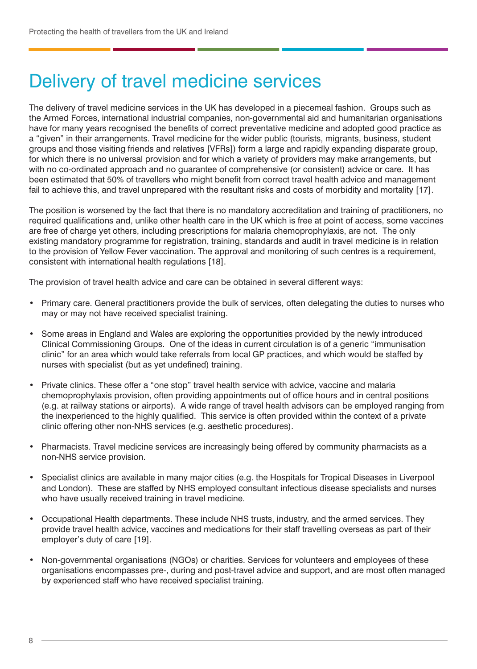# Delivery of travel medicine services

The delivery of travel medicine services in the UK has developed in a piecemeal fashion. Groups such as the Armed Forces, international industrial companies, non-governmental aid and humanitarian organisations have for many years recognised the benefits of correct preventative medicine and adopted good practice as a "given" in their arrangements. Travel medicine for the wider public (tourists, migrants, business, student groups and those visiting friends and relatives [VFRs]) form a large and rapidly expanding disparate group, for which there is no universal provision and for which a variety of providers may make arrangements, but with no co-ordinated approach and no guarantee of comprehensive (or consistent) advice or care. It has been estimated that 50% of travellers who might benefit from correct travel health advice and management fail to achieve this, and travel unprepared with the resultant risks and costs of morbidity and mortality [17].

The position is worsened by the fact that there is no mandatory accreditation and training of practitioners, no required qualifications and, unlike other health care in the UK which is free at point of access, some vaccines are free of charge yet others, including prescriptions for malaria chemoprophylaxis, are not. The only existing mandatory programme for registration, training, standards and audit in travel medicine is in relation to the provision of Yellow Fever vaccination. The approval and monitoring of such centres is a requirement, consistent with international health regulations [18].

The provision of travel health advice and care can be obtained in several different ways:

- Primary care. General practitioners provide the bulk of services, often delegating the duties to nurses who may or may not have received specialist training.
- Some areas in England and Wales are exploring the opportunities provided by the newly introduced Clinical Commissioning Groups. One of the ideas in current circulation is of a generic "immunisation clinic" for an area which would take referrals from local GP practices, and which would be staffed by nurses with specialist (but as yet undefined) training.
- Private clinics. These offer a "one stop" travel health service with advice, vaccine and malaria chemoprophylaxis provision, often providing appointments out of office hours and in central positions (e.g. at railway stations or airports). A wide range of travel health advisors can be employed ranging from the inexperienced to the highly qualified. This service is often provided within the context of a private clinic offering other non-NHS services (e.g. aesthetic procedures).
- Pharmacists. Travel medicine services are increasingly being offered by community pharmacists as a non-NHS service provision.
- Specialist clinics are available in many major cities (e.g. the Hospitals for Tropical Diseases in Liverpool and London). These are staffed by NHS employed consultant infectious disease specialists and nurses who have usually received training in travel medicine.
- Occupational Health departments. These include NHS trusts, industry, and the armed services. They provide travel health advice, vaccines and medications for their staff travelling overseas as part of their employer's duty of care [19].
- Non-governmental organisations (NGOs) or charities. Services for volunteers and employees of these organisations encompasses pre-, during and post-travel advice and support, and are most often managed by experienced staff who have received specialist training.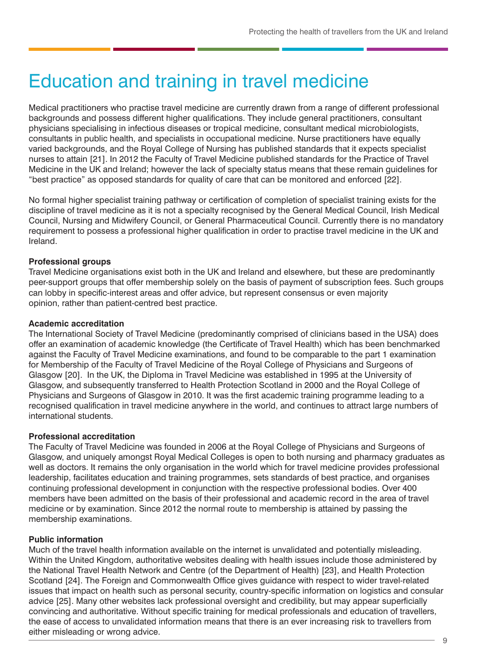# Education and training in travel medicine

Medical practitioners who practise travel medicine are currently drawn from a range of different professional backgrounds and possess different higher qualifications. They include general practitioners, consultant physicians specialising in infectious diseases or tropical medicine, consultant medical microbiologists, consultants in public health, and specialists in occupational medicine. Nurse practitioners have equally varied backgrounds, and the Royal College of Nursing has published standards that it expects specialist nurses to attain [21]. In 2012 the Faculty of Travel Medicine published standards for the Practice of Travel Medicine in the UK and Ireland; however the lack of specialty status means that these remain guidelines for "best practice" as opposed standards for quality of care that can be monitored and enforced [22].

No formal higher specialist training pathway or certification of completion of specialist training exists for the discipline of travel medicine as it is not a specialty recognised by the General Medical Council, Irish Medical Council, Nursing and Midwifery Council, or General Pharmaceutical Council. Currently there is no mandatory requirement to possess a professional higher qualification in order to practise travel medicine in the UK and Ireland.

#### **Professional groups**

Travel Medicine organisations exist both in the UK and Ireland and elsewhere, but these are predominantly peer-support groups that offer membership solely on the basis of payment of subscription fees. Such groups can lobby in specific-interest areas and offer advice, but represent consensus or even majority opinion, rather than patient-centred best practice.

#### **Academic accreditation**

The International Society of Travel Medicine (predominantly comprised of clinicians based in the USA) does offer an examination of academic knowledge (the Certificate of Travel Health) which has been benchmarked against the Faculty of Travel Medicine examinations, and found to be comparable to the part 1 examination for Membership of the Faculty of Travel Medicine of the Royal College of Physicians and Surgeons of Glasgow [20]. In the UK, the Diploma in Travel Medicine was established in 1995 at the University of Glasgow, and subsequently transferred to Health Protection Scotland in 2000 and the Royal College of Physicians and Surgeons of Glasgow in 2010. It was the first academic training programme leading to a recognised qualification in travel medicine anywhere in the world, and continues to attract large numbers of international students.

#### **Professional accreditation**

The Faculty of Travel Medicine was founded in 2006 at the Royal College of Physicians and Surgeons of Glasgow, and uniquely amongst Royal Medical Colleges is open to both nursing and pharmacy graduates as well as doctors. It remains the only organisation in the world which for travel medicine provides professional leadership, facilitates education and training programmes, sets standards of best practice, and organises continuing professional development in conjunction with the respective professional bodies. Over 400 members have been admitted on the basis of their professional and academic record in the area of travel medicine or by examination. Since 2012 the normal route to membership is attained by passing the membership examinations.

#### **Public information**

Much of the travel health information available on the internet is unvalidated and potentially misleading. Within the United Kingdom, authoritative websites dealing with health issues include those administered by the National Travel Health Network and Centre (of the Department of Health) [23], and Health Protection Scotland [24]. The Foreign and Commonwealth Office gives guidance with respect to wider travel-related issues that impact on health such as personal security, country-specific information on logistics and consular advice [25]. Many other websites lack professional oversight and credibility, but may appear superficially convincing and authoritative. Without specific training for medical professionals and education of travellers, the ease of access to unvalidated information means that there is an ever increasing risk to travellers from either misleading or wrong advice.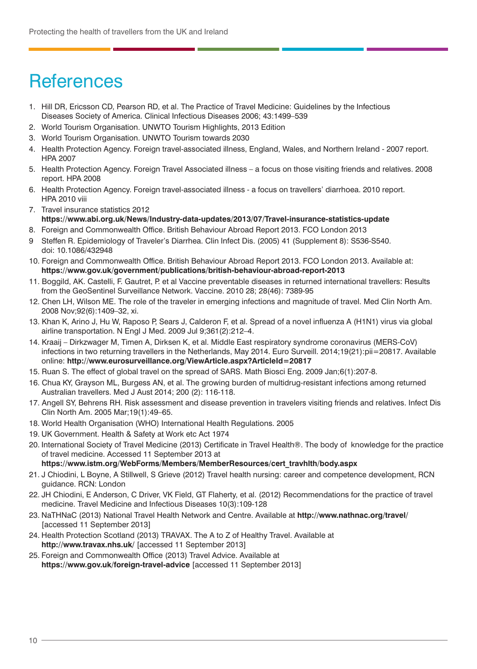# **References**

- 1. Hill DR, Ericsson CD, Pearson RD, et al. The Practice of Travel Medicine: Guidelines by the Infectious Diseases Society of America. Clinical Infectious Diseases 2006; 43:1499–539
- 2. World Tourism Organisation. UNWTO Tourism Highlights, 2013 Edition
- 3. World Tourism Organisation. UNWTO Tourism towards 2030
- 4. Health Protection Agency. Foreign travel-associated illness, England, Wales, and Northern Ireland 2007 report. HPA 2007
- 5. Health Protection Agency. Foreign Travel Associated illness a focus on those visiting friends and relatives. 2008 report. HPA 2008
- 6. Health Protection Agency. Foreign travel-associated illness a focus on travellers' diarrhoea. 2010 report. HPA 2010 viii
- 7. Travel insurance statistics 2012 **https://www.abi.org.uk/News/Industry-data-updates/2013/07/Travel-insurance-statistics-update**
- 8. Foreign and Commonwealth Office. British Behaviour Abroad Report 2013. FCO London 2013
- 9 Steffen R. Epidemiology of Traveler's Diarrhea. Clin Infect Dis. (2005) 41 (Supplement 8): S536-S540. doi: 10.1086/432948
- 10. Foreign and Commonwealth Office. British Behaviour Abroad Report 2013. FCO London 2013. Available at: **https://www.gov.uk/government/publications/british-behaviour-abroad-report-2013**
- 11. Boggild, AK. Castelli, F. Gautret, P. et al Vaccine preventable diseases in returned international travellers: Results from the GeoSentinel Surveillance Network. Vaccine. 2010 28; 28(46): 7389-95
- 12. Chen LH, Wilson ME. The role of the traveler in emerging infections and magnitude of travel. Med Clin North Am. 2008 Nov;92(6):1409–32, xi.
- 13. Khan K, Arino J, Hu W, Raposo P, Sears J, Calderon F, et al. Spread of a novel influenza A (H1N1) virus via global airline transportation. N Engl J Med. 2009 Jul 9;361(2):212–4.
- 14. Kraaij Dirkzwager M, Timen A, Dirksen K, et al. Middle East respiratory syndrome coronavirus (MERS-CoV) infections in two returning travellers in the Netherlands, May 2014. Euro Surveill. 2014;19(21):pii=20817. Available online: **http://www.eurosurveillance.org/ViewArticle.aspx?ArticleId=20817**
- 15. Ruan S. The effect of global travel on the spread of SARS. Math Biosci Eng. 2009 Jan;6(1):207-8.
- 16. Chua KY, Grayson ML, Burgess AN, et al. The growing burden of multidrug-resistant infections among returned Australian travellers. Med J Aust 2014; 200 (2): 116-118.
- 17. Angell SY, Behrens RH. Risk assessment and disease prevention in travelers visiting friends and relatives. Infect Dis Clin North Am. 2005 Mar;19(1):49–65.
- 18. World Health Organisation (WHO) International Health Regulations. 2005
- 19. UK Government. Health & Safety at Work etc Act 1974
- 20. International Society of Travel Medicine (2013) Certificate in Travel Health®. The body of knowledge for the practice of travel medicine. Accessed 11 September 2013 at
	- **https://www.istm.org/WebForms/Members/MemberResources/cert\_travhlth/body.aspx**
- 21. J Chiodini, L Boyne, A Stillwell, S Grieve (2012) Travel health nursing: career and competence development, RCN guidance. RCN: London
- 22. JH Chiodini, E Anderson, C Driver, VK Field, GT Flaherty, et al. (2012) Recommendations for the practice of travel medicine. Travel Medicine and Infectious Diseases 10(3):109-128
- 23. NaTHNaC (2013) National Travel Health Network and Centre. Available at **http://www.nathnac.org/travel/**  [accessed 11 September 2013]
- 24. Health Protection Scotland (2013) TRAVAX. The A to Z of Healthy Travel. Available at **http://www.travax.nhs.uk/** [accessed 11 September 2013]
- 25. Foreign and Commonwealth Office (2013) Travel Advice. Available at **https://www.gov.uk/foreign-travel-advice** [accessed 11 September 2013]